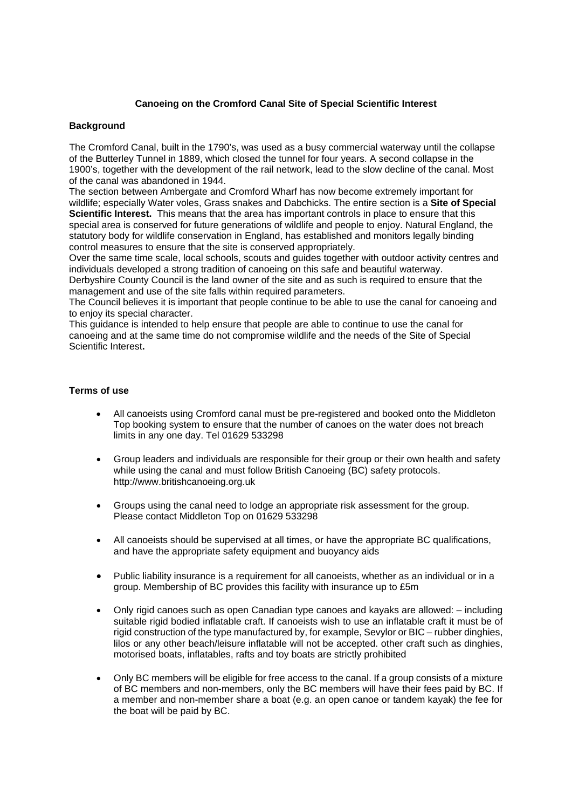## **Canoeing on the Cromford Canal Site of Special Scientific Interest**

## **Background**

The Cromford Canal, built in the 1790's, was used as a busy commercial waterway until the collapse of the Butterley Tunnel in 1889, which closed the tunnel for four years. A second collapse in the 1900's, together with the development of the rail network, lead to the slow decline of the canal. Most of the canal was abandoned in 1944.

The section between Ambergate and Cromford Wharf has now become extremely important for wildlife; especially Water voles, Grass snakes and Dabchicks. The entire section is a **Site of Special Scientific Interest.** This means that the area has important controls in place to ensure that this special area is conserved for future generations of wildlife and people to enjoy. Natural England, the statutory body for wildlife conservation in England, has established and monitors legally binding control measures to ensure that the site is conserved appropriately.

Over the same time scale, local schools, scouts and guides together with outdoor activity centres and individuals developed a strong tradition of canoeing on this safe and beautiful waterway.

Derbyshire County Council is the land owner of the site and as such is required to ensure that the management and use of the site falls within required parameters.

The Council believes it is important that people continue to be able to use the canal for canoeing and to enjoy its special character.

This guidance is intended to help ensure that people are able to continue to use the canal for canoeing and at the same time do not compromise wildlife and the needs of the Site of Special Scientific Interest**.**

## **Terms of use**

- All canoeists using Cromford canal must be pre-registered and booked onto the Middleton Top booking system to ensure that the number of canoes on the water does not breach limits in any one day. Tel 01629 533298
- Group leaders and individuals are responsible for their group or their own health and safety while using the canal and must follow British Canoeing (BC) safety protocols. http://www.britishcanoeing.org.uk
- Groups using the canal need to lodge an appropriate risk assessment for the group. Please contact Middleton Top on 01629 533298
- All canoeists should be supervised at all times, or have the appropriate BC qualifications, and have the appropriate safety equipment and buoyancy aids
- Public liability insurance is a requirement for all canoeists, whether as an individual or in a group. Membership of BC provides this facility with insurance up to £5m
- Only rigid canoes such as open Canadian type canoes and kayaks are allowed: including suitable rigid bodied inflatable craft. If canoeists wish to use an inflatable craft it must be of rigid construction of the type manufactured by, for example, Sevylor or BIC – rubber dinghies, lilos or any other beach/leisure inflatable will not be accepted. other craft such as dinghies, motorised boats, inflatables, rafts and toy boats are strictly prohibited
- Only BC members will be eligible for free access to the canal. If a group consists of a mixture of BC members and non-members, only the BC members will have their fees paid by BC. If a member and non-member share a boat (e.g. an open canoe or tandem kayak) the fee for the boat will be paid by BC.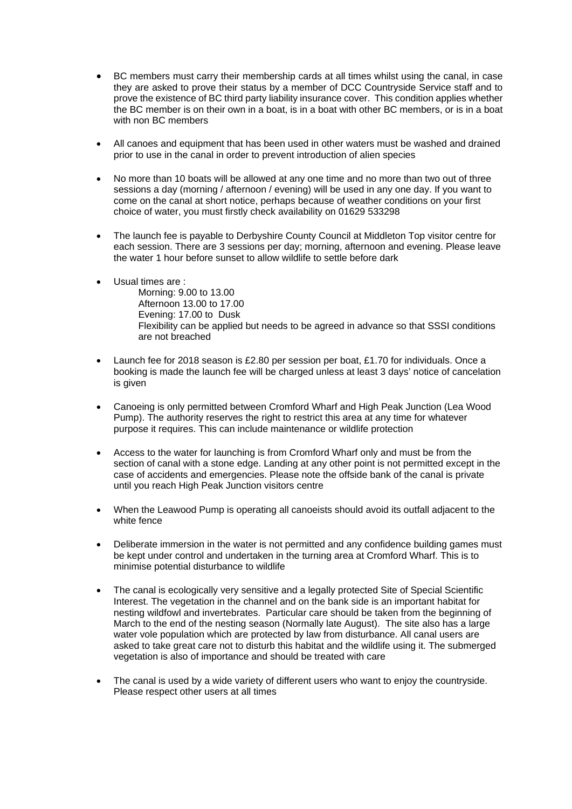- BC members must carry their membership cards at all times whilst using the canal, in case they are asked to prove their status by a member of DCC Countryside Service staff and to prove the existence of BC third party liability insurance cover. This condition applies whether the BC member is on their own in a boat, is in a boat with other BC members, or is in a boat with non BC members
- All canoes and equipment that has been used in other waters must be washed and drained prior to use in the canal in order to prevent introduction of alien species
- No more than 10 boats will be allowed at any one time and no more than two out of three sessions a day (morning / afternoon / evening) will be used in any one day. If you want to come on the canal at short notice, perhaps because of weather conditions on your first choice of water, you must firstly check availability on 01629 533298
- The launch fee is payable to Derbyshire County Council at Middleton Top visitor centre for each session. There are 3 sessions per day; morning, afternoon and evening. Please leave the water 1 hour before sunset to allow wildlife to settle before dark
- Usual times are : Morning: 9.00 to 13.00 Afternoon 13.00 to 17.00 Evening: 17.00 to Dusk Flexibility can be applied but needs to be agreed in advance so that SSSI conditions are not breached
- Launch fee for 2018 season is £2.80 per session per boat, £1.70 for individuals. Once a booking is made the launch fee will be charged unless at least 3 days' notice of cancelation is given
- Canoeing is only permitted between Cromford Wharf and High Peak Junction (Lea Wood Pump). The authority reserves the right to restrict this area at any time for whatever purpose it requires. This can include maintenance or wildlife protection
- Access to the water for launching is from Cromford Wharf only and must be from the section of canal with a stone edge. Landing at any other point is not permitted except in the case of accidents and emergencies. Please note the offside bank of the canal is private until you reach High Peak Junction visitors centre
- When the Leawood Pump is operating all canoeists should avoid its outfall adjacent to the white fence
- Deliberate immersion in the water is not permitted and any confidence building games must be kept under control and undertaken in the turning area at Cromford Wharf. This is to minimise potential disturbance to wildlife
- The canal is ecologically very sensitive and a legally protected Site of Special Scientific Interest. The vegetation in the channel and on the bank side is an important habitat for nesting wildfowl and invertebrates. Particular care should be taken from the beginning of March to the end of the nesting season (Normally late August). The site also has a large water vole population which are protected by law from disturbance. All canal users are asked to take great care not to disturb this habitat and the wildlife using it. The submerged vegetation is also of importance and should be treated with care
- The canal is used by a wide variety of different users who want to enjoy the countryside. Please respect other users at all times